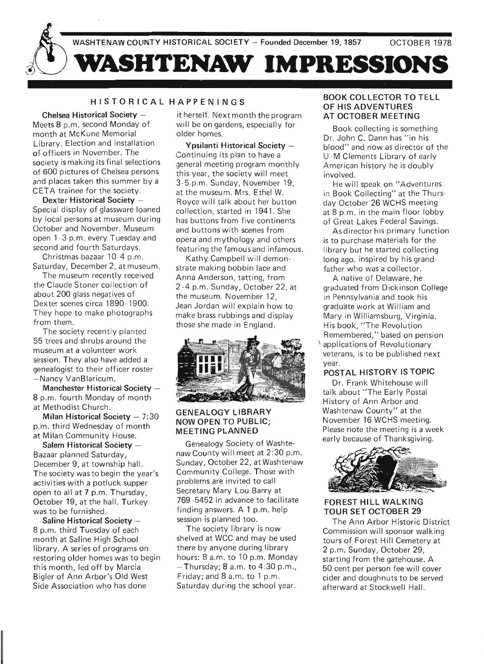

# <sup>H</sup> <sup>I</sup> STORICAL HAPPENINGS

Chelsea Historical Society -Meets 8 p.m. second Monday of month at McKune Memorial Library. Election and installation of officers in November. The society is making its final selections of 600 pictures of Chelsea persons and places taken this summer by a CETA trainee for the society.

Dexter Historical Society -Special display of glassware loaned by local persons at museum during October and November. Museum open 1 -3 p.m . every Tuesday and second and fourth Saturdays.

Christmas bazaar 10-4 p.m . Saturday, December 2, at museum.

The museum recently received the Claude Stoner collection of about 200-glass negatives of Dexter scenes circa 1890 - 1900. They hope to make photographs from them.

The society recently planted 55 trees and shrubs around the museum at a volunteer work session. They also have added a genealogist to their officer roster -Nancy VanBlaricum.

Manchester Historical Society -8 p.m. fourth Monday of month at Methodist Church.

Milan Historical Society  $-7:30$ p.m. third Wednesday of month at Milan Community House.

Salem Historical Society  $-$ Bazaar planned Saturday, December 9, at township hall. The society was to begin the year's activities with a potluck supper open to all at 7 p.m. Thursday, October 19, at the hall. Turkey was to be furnished.

Saline Historical Society -8 p.m. third Tuesday of each month at Saline High School library. A series of programs on restoring older homes was to begin this month, led off by Marcia Bigler of Ann Arbor's Old West Side Association who has done

it herself. Next month the program will be on gardens, especially for older homes.

Ypsilanti Historical Society -Continuing its plan to have a ,general meeting program monthly this year, the society will meet 3-5 p.m. Sunday, November 19, at the museum. Mrs. Ethel W. Royce will talk about her button collection, started in 1941. She has buttons from five continents and buttons with scenes from opera and mythology and others featuring the famous and infamous.

Kathv. Campbell will demonstrate making bobbin lace and Anna Anderson, tatting, from 2 -4 p.m. Sunday, October 22, at the museum. November 12, Jean Jordan will explain how to make brass rubbings and display those she made in England .



# GENEALOGY LIBRARY NOW OPEN TO PUBLIC; MEETING PLANNED

Genealogy Society of Washtenaw County will meet at 2:30 p.m. Sunday, October 22, at Washtenaw Community College. Those with problems are invited to call Secretary Mary Lou Barry at 769-5452 in advance to facilitate finding answers. A 1 p.m. help session is planned too.

The society library is now shelved at WCC and may be used there by anyone during library hours: 8 a.m. to 10 p.m. Monday  $-$  Thursday; 8 a.m. to 4:30 p.m., Friday; and 8 a.m. to 1 p.m. Saturday during the school year.

# BOOK COLLECTOR TO TELL OF HIS ADVENTURES AT OCTOBER MEETING

Book collecting is something Dr. John C. Dann has "in his blood" and now as director of the U -M Clements Library of early American history he is doubly involved.

He will speak on "Adventures in Book Collecting" at the Thursday October 26 WCHS meeting at 8 p.m. in the main floor lobby of Great Lakes Federal Savings.

As director his primary function is to purchase materials for the library but he started collecting long ago, inspired by his grandfather who was a collector.

A native of Delaware, he graduated from Dickinson College in Pennsylvania and took his graduate work at William and Mary in Williamsburg, Virginia. H is book, "The Revolution Remembered," based on pension applications of Revolutionary veterans, is to be published next year.

# POSTAL HISTORY IS TOPIC

Dr. Frank Whitehouse will talk about "The Early Postal History of Ann Arbor and Washtenaw County" at the November 16 WCHS meeting. Please note the meeting is a week early because of Thanksgiving.



# FOREST HILL WALKING TOUR SET OCTOBER 29

The Ann Arbor Historic District Commission will sponsor walking tours of Forest Hill Cemetery at 2 p.m. Sunday, October 29, starting from the gatehouse. A 50 cent per person fee will cover cider and doughnuts to be served afterward at Stockwell Hall.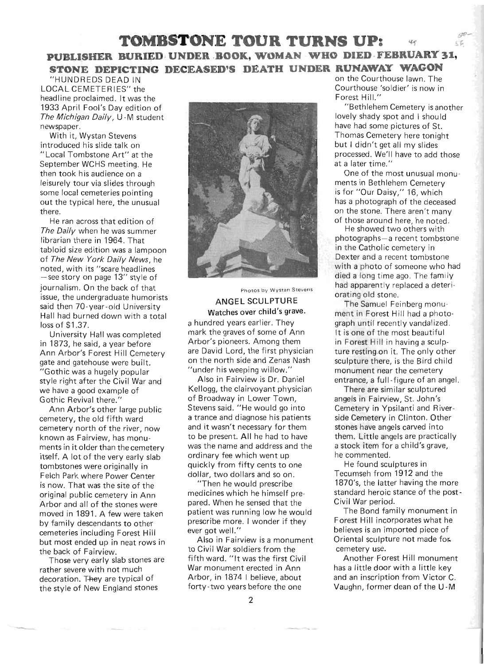# **TOMBSTONE TOUR TURNS UP:**  灯 **PUBLISHER BURIED UNDER BOOK, WOMAN WHO DIED FEBRUARY 31, STONE DEPICTING DECEASED'S DEATH UNDER RUNAWAY WAGON**

LOCAL CEMETERIES" the  $\blacksquare$ 

journalism. On the back of that had apparently replaced a deteriissue, the undergraduate humorists<br>ANGEL SCULPTURE The Semuel Fe said then 70-year-old University **ANGEL SCULPTURE** The Samuel Feinberg monu-Hall had burned down with a total Watches over child's grave. ment in Forest Hill had a photoloss of \$1.37. **a** hundred years earlier. They graph until recently vandalized.

"Gothic was a hugely popular "under his weeping willow." monument near the cemetery style right after the Civil War and Also in Fairview is Dr. Daniel entrance, a full-figure of an angel. we have a good example of Kellogg, the clairvoyant physician There are similar sculptured Gothic Revival there." The State of Broadway in Lower Town, The angels in Fairview, St. John's

cemetery, the old fifth ward a trance and diagnose his patients side Cemetery in Clinton. Other cemetery north of the river, now and it wasn't necessary for them stones have angels carved into known as Fairview, has monu-<br>to be present. All he had to have them. Little angels are practically ments in it older than the cemetery was the name and address and the a stock item for a child's grave, itself. A lot of the very early slab  $\overline{\phantom{a}}$  ordinary fee which went up he commented. tombstones were originally in quickly from fifty cents to one He found sculptures in Felch Park where Power Center dollar, two dollars and so on. Tecumseh from 1912 and the is now. That was the site of the "Then he would prescribe" 1870's, the latter having the more Arbor and all of the stones were pared. When he sensed that the Civil War period. moved in 1891. A few were taken patient was running low he would The Bond family monument in by family descendants to other prescribe more. I wonder if they Forest Hill incorporates what he cemeteries including Forest Hill ever got well." believes is an imported piece of but most ended up in neat rows in Also in Fairview is a monument Oriental sculpture not made for the back of Fairview. the back of Fairview. to Civil War soldiers from the cemetery use.

the style of New England stones forty-two years before the one Vaughn, former dean of the U-M



University Hall was completed mark the graves of some of Ann It is one of the most beautiful in 1873, he said, a vear before **Arbor's pioneers.** Among them in Forest Hill in having a sculp-Ann Arbor's Forest Hill Cemetery are David Lord, the first physician ture resting.on it. The only other gate and gatehouse were built. The north side and Zenas Nash sculpture there, is the Bird child

Ann Arbor's other large public Stevens said. "He would go into Cemetery in Ypsilanti and River-

Those very early slab stones are fifth ward. "It was the first Civil Forest Hill monument rather severe with not much War monument erected in Ann has a little door with a little key decoration. They are typical of Arbor, in 1874 I believe, about and an inscription from Victor C.

"HUN DREDS DEAD IN on the Courthouse lawn. The

original public cemetery in Ann medicines which he himself pre-<br>original public cemetery in Ann medicines which he himself pre-<br>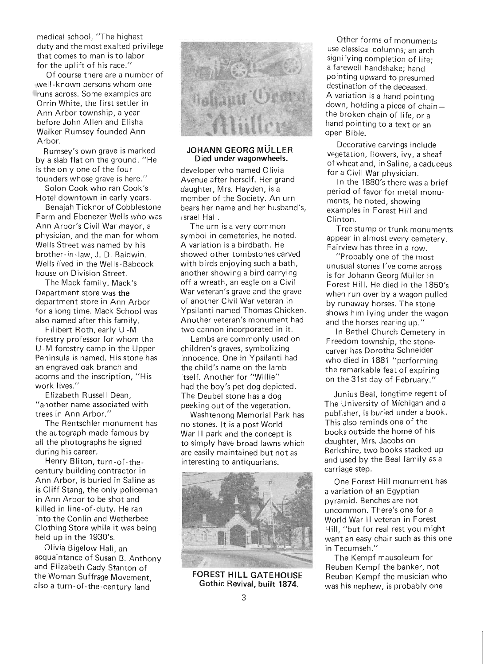medical school, "The highest duty and the most exalted privilege that comes to man is to labor for the uplift of his race."

Of course there are a number of well- known persons whom one runs across. Some examples are Orrin White, the first settler in Ann Arbor township, a year before John Allen and Elisha Walker Rumsey founded Ann Arhor.

Rumsey's own grave is marked by a slab flat on the ground. "He is the only one of the four founders whose grave is here."

Solon Cook who ran Cook's Hotel downtown in early years.

Benajah Ticknor of Cobblestone Farm and Ebenezer Wells who was Ann Arbor's Civil War mayor, a physician, and the man for whom Wells Street was named by his brother -in-law, J. D. Baldwin. Wells lived in the Wells-Babcock house on Division Street.

The Mack family. Mack's Department store was the department store in Ann Arbor for a long time. Mack School was also named after this family.

Filibert Roth, early U-M forestry professor for whom the U -M forestry camp in the Upper Peninsula is named. His stone has an engraved oak branch and acorns and the inscription, "His work lives."

Elizabeth Russell Dean, "another name associated with trees in Ann Arbor."

The Rentschler monument has the autograph made famous by all the photographs he signed during his career.

Henry Bliton, turn-of-thecentury building contractor in Ann Arbor, is buried in Saline as is Cliff Stang, the only policeman in Ann Arbor to be shot and killed in line-of-duty. He ran into the Conlin and Wetherbee Clothing Store while it was being held up in the 1930's.

Olivia Bigelow Hall, an acquaintance of Susan B. Anthony and Elizabeth Cady Stanton of the Woman Suffrage Movement, also a turn-of-the-century land



### JOHANN GEORG MÜLL FR Died under wagonwheels.

developer who named Olivia Avenue after herself. Her granddaughter, Mrs. Hayden, is a member of the Society. An urn bears her name and her husband's, Israel Hall.

The urn is a very common symbol in cemeteries, he noted. A variation is a birdbath. He showed other tombstones carved with birds enjoying such a bath, another showing a bird carrying off a wreath, an eagle on a Civil War veteran's grave and the grave of another Civil War veteran in Ypsilanti named Thomas Chicken. Another veteran's monument had two cannon incorporated in it.

Lambs are commonly used on children's graves, symbolizing innocence. One in Ypsilanti had the child's name on the lamb itself. Another for "Willie" had the boy's pet dog depicted. The Deubel stone has a dog peeking out of the vegetation.

Washtenong Memorial Park has no stones. It is a post World War II park and the concept is to simply have broad lawns which are easily maintained but not as interesting to antiquarians.



FOREST HILL GATEHOUSE Gothic Revival, built 1874.

Other forms of monuments use classical columns; an arch signifying completion of life; a farewell handshake; hand pointing upward to presumed destination of the deceased. A variation is a hand pointing down, holding a piece of chainthe broken chain of life, or a hand pointing to a text or an open Bible.

Decorative carvings include vegetation, flowers, ivy, a sheaf of wheat and, in Saline, a caduceus for a Civil War physician.

In the 1880's there was a brief period of favor for metal monuments, he noted, showing examples in Forest Hill and Clinton.

Tree stump or trunk monuments appear in almost every cemetery. Fairview has three in a row.

"Probably one of the most unusual stones I've come across is for Johann Georg Müller in Forest Hill. He died in the 1850's when run over by a wagon pulled by runaway horses. The stone shows him lying under the wagon and the horses rearing up."

In Bethel Church Cemetery in Freedom township, the stonecarver has Dorotha Schneider who died in 1881 "performing the remarkable feat of expiring on the 31st day of February."

Junius Beal, longtime regent of The University of Michigan and a publisher, is buried under a book. This also reminds one of the books outside the home of his daughter, Mrs. Jacobs on Berkshire, two books stacked up and used by the Beal family as a carriage step.

One Forest Hill monument has a variation of an Egyptian pyramid. Benches are not uncommon. There's one for a World War II veteran in Forest Hill, "but for real rest you might want an easy chair such as this one in Tecumseh."

The Kempf mausoleum for Reuben Kempf the banker, not Reuben Kempf the musician who was his nephew, is probably one